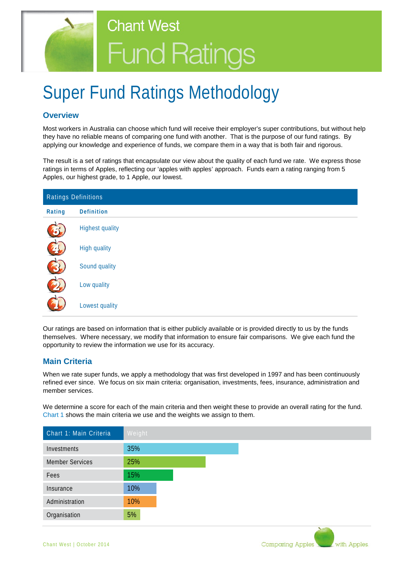

# Super Fund Ratings Methodology

## **Overview**

Most workers in Australia can choose which fund will receive their employer's super contributions, but without help they have no reliable means of comparing one fund with another. That is the purpose of our fund ratings. By applying our knowledge and experience of funds, we compare them in a way that is both fair and rigorous.

The result is a set of ratings that encapsulate our view about the quality of each fund we rate. We express those ratings in terms of Apples, reflecting our 'apples with apples' approach. Funds earn a rating ranging from 5 Apples, our highest grade, to 1 Apple, our lowest.

| Ratings Definitions |                        |
|---------------------|------------------------|
| Rating              | <b>Definition</b>      |
| 5                   | <b>Highest quality</b> |
| 74                  | <b>High quality</b>    |
|                     | Sound quality          |
|                     | Low quality            |
|                     | Lowest quality         |

Our ratings are based on information that is either publicly available or is provided directly to us by the funds themselves. Where necessary, we modify that information to ensure fair comparisons. We give each fund the opportunity to review the information we use for its accuracy.

## **Main Criteria**

When we rate super funds, we apply a methodology that was first developed in 1997 and has been continuously refined ever since. We focus on six main criteria: organisation, investments, fees, insurance, administration and member services.

We determine a score for each of the main criteria and then weight these to provide an overall rating for the fund. Chart 1 shows the main criteria we use and the weights we assign to them.

| Chart 1: Main Criteria | Weight |
|------------------------|--------|
| Investments            | 35%    |
| <b>Member Services</b> | 25%    |
| Fees                   | 15%    |
| Insurance              | 10%    |
| Administration         | 10%    |
| Organisation           | 5%     |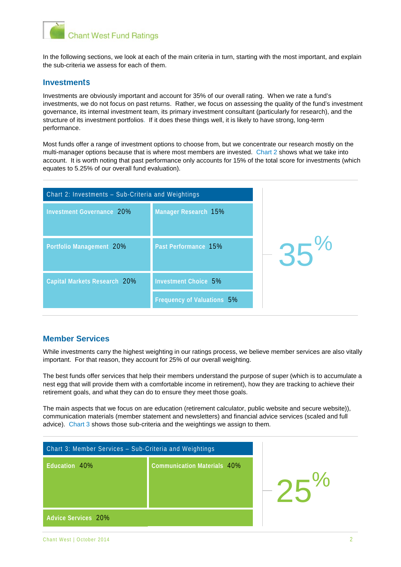

In the following sections, we look at each of the main criteria in turn, starting with the most important, and explain the sub-criteria we assess for each of them.

#### **Investments**

Investments are obviously important and account for 35% of our overall rating. When we rate a fund's investments, we do not focus on past returns. Rather, we focus on assessing the quality of the fund's investment governance, its internal investment team, its primary investment consultant (particularly for research), and the structure of its investment portfolios. If it does these things well, it is likely to have strong, long-term performance.

Most funds offer a range of investment options to choose from, but we concentrate our research mostly on the multi-manager options because that is where most members are invested. Chart 2 shows what we take into account. It is worth noting that past performance only accounts for 15% of the total score for investments (which equates to 5.25% of our overall fund evaluation).

| Chart 2: Investments - Sub-Criteria and Weightings |                                   |       |
|----------------------------------------------------|-----------------------------------|-------|
| <b>Investment Governance 20%</b>                   | Manager Research 15%              |       |
| Portfolio Management 20%                           | Past Performance 15%              | $35%$ |
| <b>Capital Markets Research 20%</b>                | <b>Investment Choice 5%</b>       |       |
|                                                    | <b>Frequency of Valuations 5%</b> |       |

### **Member Services**

While investments carry the highest weighting in our ratings process, we believe member services are also vitally important. For that reason, they account for 25% of our overall weighting.

The best funds offer services that help their members understand the purpose of super (which is to accumulate a nest egg that will provide them with a comfortable income in retirement), how they are tracking to achieve their retirement goals, and what they can do to ensure they meet those goals.

The main aspects that we focus on are education (retirement calculator, public website and secure website)), communication materials (member statement and newsletters) and financial advice services (scaled and full advice). Chart 3 shows those sub-criteria and the weightings we assign to them.

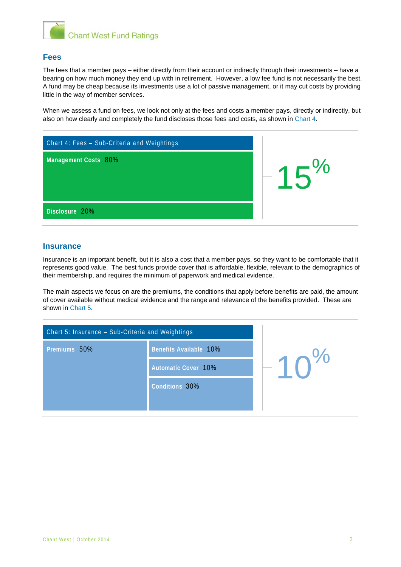

### **Fees**

The fees that a member pays – either directly from their account or indirectly through their investments – have a bearing on how much money they end up with in retirement. However, a low fee fund is not necessarily the best. A fund may be cheap because its investments use a lot of passive management, or it may cut costs by providing little in the way of member services.

When we assess a fund on fees, we look not only at the fees and costs a member pays, directly or indirectly, but also on how clearly and completely the fund discloses those fees and costs, as shown in Chart 4.

| Chart 4: Fees - Sub-Criteria and Weightings |            |
|---------------------------------------------|------------|
| Management Costs 80%                        | $-15^{20}$ |
| Disclosure 20%                              |            |

#### **Insurance**

Insurance is an important benefit, but it is also a cost that a member pays, so they want to be comfortable that it represents good value. The best funds provide cover that is affordable, flexible, relevant to the demographics of their membership, and requires the minimum of paperwork and medical evidence.

The main aspects we focus on are the premiums, the conditions that apply before benefits are paid, the amount of cover available without medical evidence and the range and relevance of the benefits provided. These are shown in Chart 5.

| Chart 5: Insurance - Sub-Criteria and Weightings |                        |            |  |
|--------------------------------------------------|------------------------|------------|--|
| Premiums 50%                                     | Benefits Available 10% |            |  |
|                                                  | Automatic Cover 10%    | $-10^{70}$ |  |
|                                                  | Conditions 30%         |            |  |
|                                                  |                        |            |  |